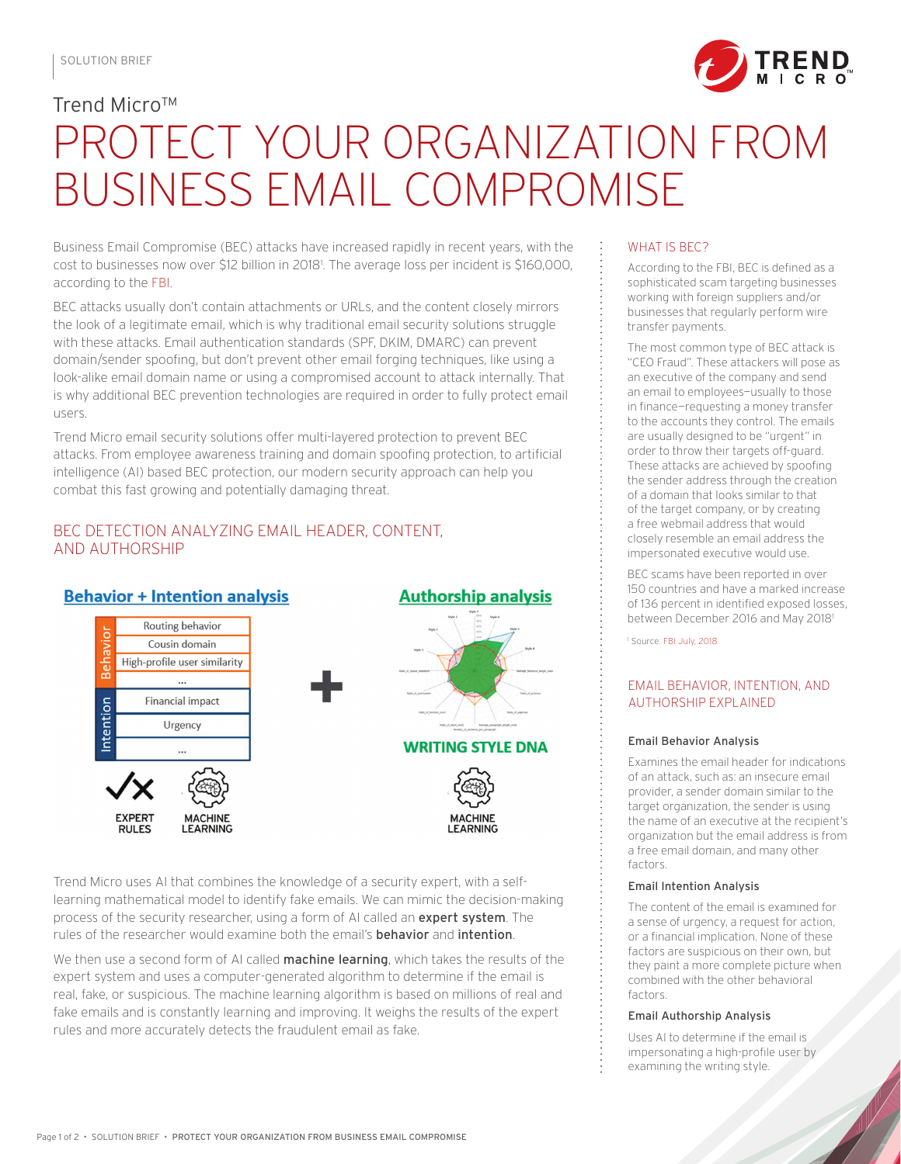

# Trend Micro™ PROTECT YOUR ORGANIZATION FROM BUSINESS EMAIL COMPROMISE

Business Email Compromise (BEC) attacks have increased rapidly in recent years, with the cost to businesses now over \$12 billion in 20181 . The average loss per incident is \$160,000, according to the [FBI](https://www.ic3.gov/media/2018/180712.aspx).

BEC attacks usually don't contain attachments or URLs, and the content closely mirrors the look of a legitimate email, which is why traditional email security solutions struggle with these attacks. Email authentication standards (SPF, DKIM, DMARC) can prevent domain/sender spoofing, but don't prevent other email forging techniques, like using a look-alike email domain name or using a compromised account to attack internally. That is why additional BEC prevention technologies are required in order to fully protect email users.

Trend Micro email security solutions offer multi-layered protection to prevent BEC attacks. From employee awareness training and domain spoofing protection, to artificial intelligence (AI) based BEC protection, our modern security approach can help you combat this fast growing and potentially damaging threat.

# BEC DETECTION ANALYZING EMAIL HEADER, CONTENT, AND AUTHORSHIP



Trend Micro uses AI that combines the knowledge of a security expert, with a selflearning mathematical model to identify fake emails. We can mimic the decision-making process of the security researcher, using a form of AI called an **expert system**. The rules of the researcher would examine both the email's **behavior** and **intention**.

We then use a second form of AI called **machine learning**, which takes the results of the expert system and uses a computer-generated algorithm to determine if the email is real, fake, or suspicious. The machine learning algorithm is based on millions of real and fake emails and is constantly learning and improving. It weighs the results of the expert

### WHAT IS BEC?

According to the FBI, BEC is defined as a sophisticated scam targeting businesses working with foreign suppliers and/or businesses that regularly perform wire transfer payments.

The most common type of BEC attack is "CEO Fraud". These attackers will pose as an executive of the company and send an email to employees—usually to those in finance—requesting a money transfer to the accounts they control. The emails are usually designed to be "urgent" in order to throw their targets off-guard. These attacks are achieved by spoofing the sender address through the creation of a domain that looks similar to that of the target company, or by creating a free webmail address that would closely resemble an email address the impersonated executive would use.

BEC scams have been reported in over 150 countries and have a marked increase of 136 percent in identified exposed losses, between December 2016 and May 2018<sup>1</sup>

1 Source: [FBI July, 2018](https://www.ic3.gov/media/2018/180712.aspx)

## EMAIL BEHAVIOR, INTENTION, AND AUTHORSHIP EXPLAINED

#### Email Behavior Analysis

Examines the email header for indications of an attack, such as: an insecure email provider, a sender domain similar to the target organization, the sender is using the name of an executive at the recipient' organization but the email address is from a free email domain, and many other factors.

#### Email Intention Analysis

The content of the email is examined for a sense of urgency, a request for action, or a financial implication. None of these factors are suspicious on their own, but they paint a more complete picture when combined with the other behavioral factors.

#### Email Authorship Analysis

Uses AI to determine if the email is impersonating a high-profile user by examining the writing style.